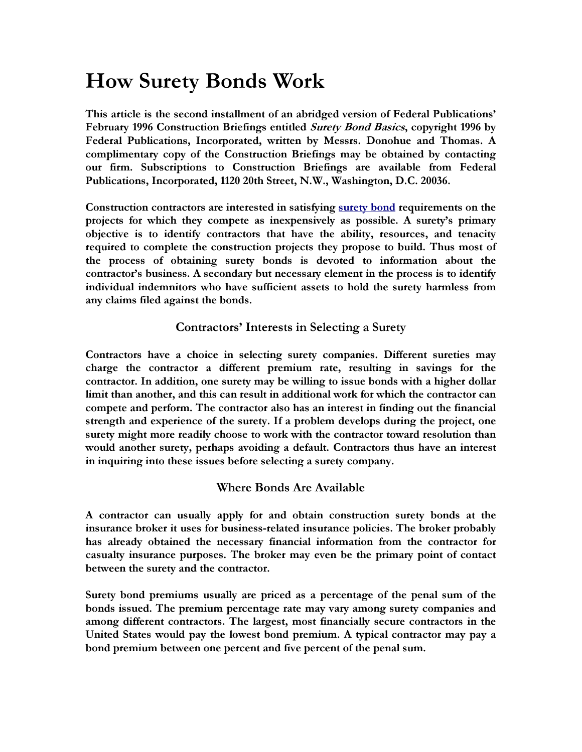# How Surety Bonds Work

This article is the second installment of an abridged version of Federal Publications' February 1996 Construction Briefings entitled *Surety Bond Basics*, copyright 1996 by Federal Publications, Incorporated, written by Messrs. Donohue and Thomas. A complimentary copy of the Construction Briefings may be obtained by contacting our firm. Subscriptions to Construction Briefings are available from Federal Publications, Incorporated, 1120 20th Street, N.W., Washington, D.C. 20036.

Construction contractors are interested in satisfying surety bond requirements on the projects for which they compete as inexpensively as possible. A surety's primary objective is to identify contractors that have the ability, resources, and tenacity required to complete the construction projects they propose to build. Thus most of the process of obtaining surety bonds is devoted to information about the contractor's business. A secondary but necessary element in the process is to identify individual indemnitors who have sufficient assets to hold the surety harmless from any claims filed against the bonds.

# Contractors' Interests in Selecting a Surety

Contractors have a choice in selecting surety companies. Different sureties may charge the contractor a different premium rate, resulting in savings for the contractor. In addition, one surety may be willing to issue bonds with a higher dollar limit than another, and this can result in additional work for which the contractor can compete and perform. The contractor also has an interest in finding out the financial strength and experience of the surety. If a problem develops during the project, one surety might more readily choose to work with the contractor toward resolution than would another surety, perhaps avoiding a default. Contractors thus have an interest in inquiring into these issues before selecting a surety company.

# Where Bonds Are Available

A contractor can usually apply for and obtain construction surety bonds at the insurance broker it uses for business-related insurance policies. The broker probably has already obtained the necessary financial information from the contractor for casualty insurance purposes. The broker may even be the primary point of contact between the surety and the contractor.

Surety bond premiums usually are priced as a percentage of the penal sum of the bonds issued. The premium percentage rate may vary among surety companies and among different contractors. The largest, most financially secure contractors in the United States would pay the lowest bond premium. A typical contractor may pay a bond premium between one percent and five percent of the penal sum.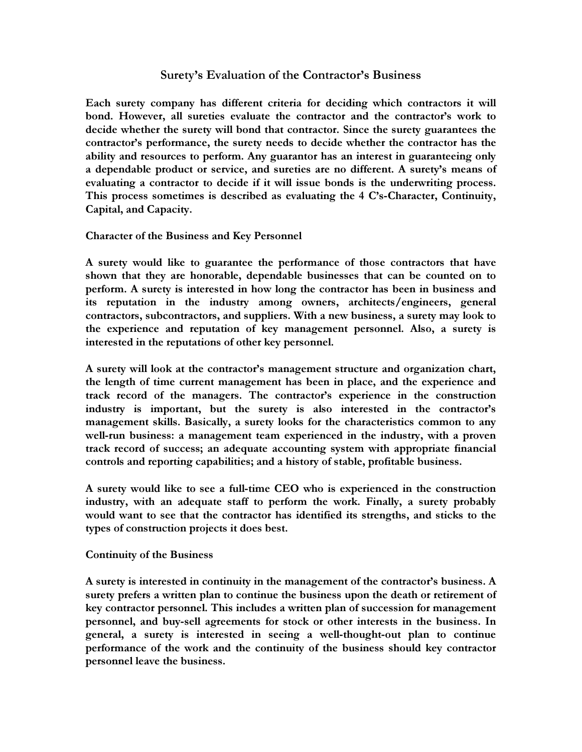# Surety's Evaluation of the Contractor's Business

Each surety company has different criteria for deciding which contractors it will bond. However, all sureties evaluate the contractor and the contractor's work to decide whether the surety will bond that contractor. Since the surety guarantees the contractor's performance, the surety needs to decide whether the contractor has the ability and resources to perform. Any guarantor has an interest in guaranteeing only a dependable product or service, and sureties are no different. A surety's means of evaluating a contractor to decide if it will issue bonds is the underwriting process. This process sometimes is described as evaluating the 4 C's-Character, Continuity, Capital, and Capacity.

Character of the Business and Key Personnel

A surety would like to guarantee the performance of those contractors that have shown that they are honorable, dependable businesses that can be counted on to perform. A surety is interested in how long the contractor has been in business and its reputation in the industry among owners, architects/engineers, general contractors, subcontractors, and suppliers. With a new business, a surety may look to the experience and reputation of key management personnel. Also, a surety is interested in the reputations of other key personnel.

A surety will look at the contractor's management structure and organization chart, the length of time current management has been in place, and the experience and track record of the managers. The contractor's experience in the construction industry is important, but the surety is also interested in the contractor's management skills. Basically, a surety looks for the characteristics common to any well-run business: a management team experienced in the industry, with a proven track record of success; an adequate accounting system with appropriate financial controls and reporting capabilities; and a history of stable, profitable business.

A surety would like to see a full-time CEO who is experienced in the construction industry, with an adequate staff to perform the work. Finally, a surety probably would want to see that the contractor has identified its strengths, and sticks to the types of construction projects it does best.

Continuity of the Business

A surety is interested in continuity in the management of the contractor's business. A surety prefers a written plan to continue the business upon the death or retirement of key contractor personnel. This includes a written plan of succession for management personnel, and buy-sell agreements for stock or other interests in the business. In general, a surety is interested in seeing a well-thought-out plan to continue performance of the work and the continuity of the business should key contractor personnel leave the business.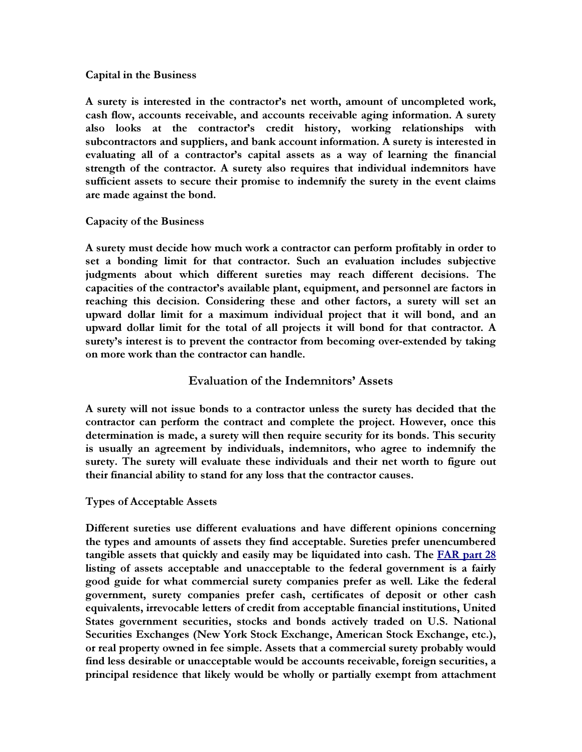#### Capital in the Business

A surety is interested in the contractor's net worth, amount of uncompleted work, cash flow, accounts receivable, and accounts receivable aging information. A surety also looks at the contractor's credit history, working relationships with subcontractors and suppliers, and bank account information. A surety is interested in evaluating all of a contractor's capital assets as a way of learning the financial strength of the contractor. A surety also requires that individual indemnitors have sufficient assets to secure their promise to indemnify the surety in the event claims are made against the bond.

## Capacity of the Business

A surety must decide how much work a contractor can perform profitably in order to set a bonding limit for that contractor. Such an evaluation includes subjective judgments about which different sureties may reach different decisions. The capacities of the contractor's available plant, equipment, and personnel are factors in reaching this decision. Considering these and other factors, a surety will set an upward dollar limit for a maximum individual project that it will bond, and an upward dollar limit for the total of all projects it will bond for that contractor. A surety's interest is to prevent the contractor from becoming over-extended by taking on more work than the contractor can handle.

# Evaluation of the Indemnitors' Assets

A surety will not issue bonds to a contractor unless the surety has decided that the contractor can perform the contract and complete the project. However, once this determination is made, a surety will then require security for its bonds. This security is usually an agreement by individuals, indemnitors, who agree to indemnify the surety. The surety will evaluate these individuals and their net worth to figure out their financial ability to stand for any loss that the contractor causes.

## Types of Acceptable Assets

Different sureties use different evaluations and have different opinions concerning the types and amounts of assets they find acceptable. Sureties prefer unencumbered tangible assets that quickly and easily may be liquidated into cash. The **FAR** part 28 listing of assets acceptable and unacceptable to the federal government is a fairly good guide for what commercial surety companies prefer as well. Like the federal government, surety companies prefer cash, certificates of deposit or other cash equivalents, irrevocable letters of credit from acceptable financial institutions, United States government securities, stocks and bonds actively traded on U.S. National Securities Exchanges (New York Stock Exchange, American Stock Exchange, etc.), or real property owned in fee simple. Assets that a commercial surety probably would find less desirable or unacceptable would be accounts receivable, foreign securities, a principal residence that likely would be wholly or partially exempt from attachment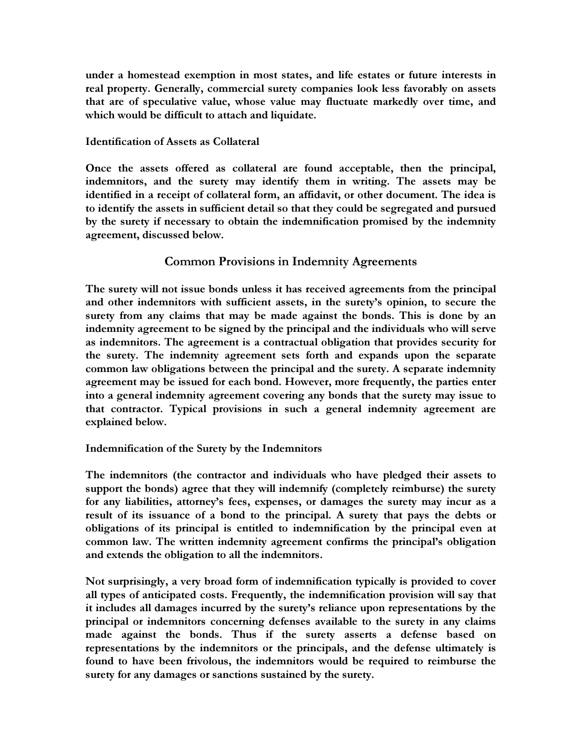under a homestead exemption in most states, and life estates or future interests in real property. Generally, commercial surety companies look less favorably on assets that are of speculative value, whose value may fluctuate markedly over time, and which would be difficult to attach and liquidate.

## Identification of Assets as Collateral

Once the assets offered as collateral are found acceptable, then the principal, indemnitors, and the surety may identify them in writing. The assets may be identified in a receipt of collateral form, an affidavit, or other document. The idea is to identify the assets in sufficient detail so that they could be segregated and pursued by the surety if necessary to obtain the indemnification promised by the indemnity agreement, discussed below.

# Common Provisions in Indemnity Agreements

The surety will not issue bonds unless it has received agreements from the principal and other indemnitors with sufficient assets, in the surety's opinion, to secure the surety from any claims that may be made against the bonds. This is done by an indemnity agreement to be signed by the principal and the individuals who will serve as indemnitors. The agreement is a contractual obligation that provides security for the surety. The indemnity agreement sets forth and expands upon the separate common law obligations between the principal and the surety. A separate indemnity agreement may be issued for each bond. However, more frequently, the parties enter into a general indemnity agreement covering any bonds that the surety may issue to that contractor. Typical provisions in such a general indemnity agreement are explained below.

## Indemnification of the Surety by the Indemnitors

The indemnitors (the contractor and individuals who have pledged their assets to support the bonds) agree that they will indemnify (completely reimburse) the surety for any liabilities, attorney's fees, expenses, or damages the surety may incur as a result of its issuance of a bond to the principal. A surety that pays the debts or obligations of its principal is entitled to indemnification by the principal even at common law. The written indemnity agreement confirms the principal's obligation and extends the obligation to all the indemnitors.

Not surprisingly, a very broad form of indemnification typically is provided to cover all types of anticipated costs. Frequently, the indemnification provision will say that it includes all damages incurred by the surety's reliance upon representations by the principal or indemnitors concerning defenses available to the surety in any claims made against the bonds. Thus if the surety asserts a defense based on representations by the indemnitors or the principals, and the defense ultimately is found to have been frivolous, the indemnitors would be required to reimburse the surety for any damages or sanctions sustained by the surety.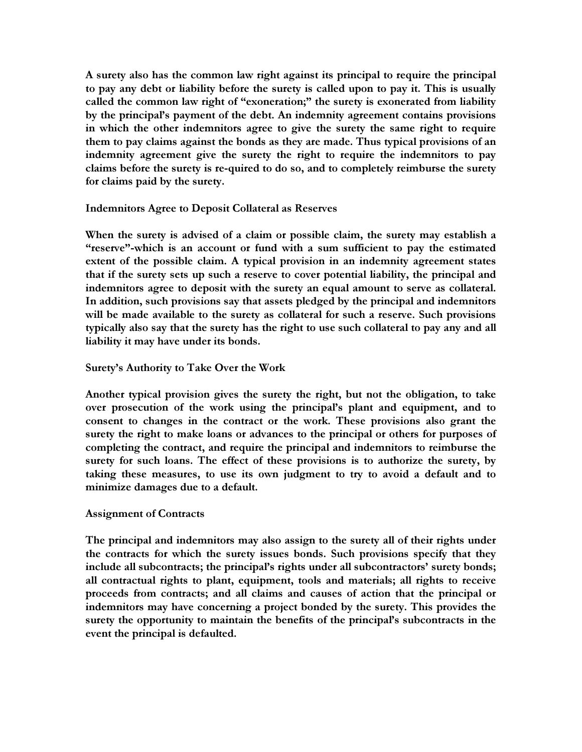A surety also has the common law right against its principal to require the principal to pay any debt or liability before the surety is called upon to pay it. This is usually called the common law right of "exoneration;" the surety is exonerated from liability by the principal's payment of the debt. An indemnity agreement contains provisions in which the other indemnitors agree to give the surety the same right to require them to pay claims against the bonds as they are made. Thus typical provisions of an indemnity agreement give the surety the right to require the indemnitors to pay claims before the surety is re-quired to do so, and to completely reimburse the surety for claims paid by the surety.

#### Indemnitors Agree to Deposit Collateral as Reserves

When the surety is advised of a claim or possible claim, the surety may establish a "reserve"-which is an account or fund with a sum sufficient to pay the estimated extent of the possible claim. A typical provision in an indemnity agreement states that if the surety sets up such a reserve to cover potential liability, the principal and indemnitors agree to deposit with the surety an equal amount to serve as collateral. In addition, such provisions say that assets pledged by the principal and indemnitors will be made available to the surety as collateral for such a reserve. Such provisions typically also say that the surety has the right to use such collateral to pay any and all liability it may have under its bonds.

#### Surety's Authority to Take Over the Work

Another typical provision gives the surety the right, but not the obligation, to take over prosecution of the work using the principal's plant and equipment, and to consent to changes in the contract or the work. These provisions also grant the surety the right to make loans or advances to the principal or others for purposes of completing the contract, and require the principal and indemnitors to reimburse the surety for such loans. The effect of these provisions is to authorize the surety, by taking these measures, to use its own judgment to try to avoid a default and to minimize damages due to a default.

#### Assignment of Contracts

The principal and indemnitors may also assign to the surety all of their rights under the contracts for which the surety issues bonds. Such provisions specify that they include all subcontracts; the principal's rights under all subcontractors' surety bonds; all contractual rights to plant, equipment, tools and materials; all rights to receive proceeds from contracts; and all claims and causes of action that the principal or indemnitors may have concerning a project bonded by the surety. This provides the surety the opportunity to maintain the benefits of the principal's subcontracts in the event the principal is defaulted.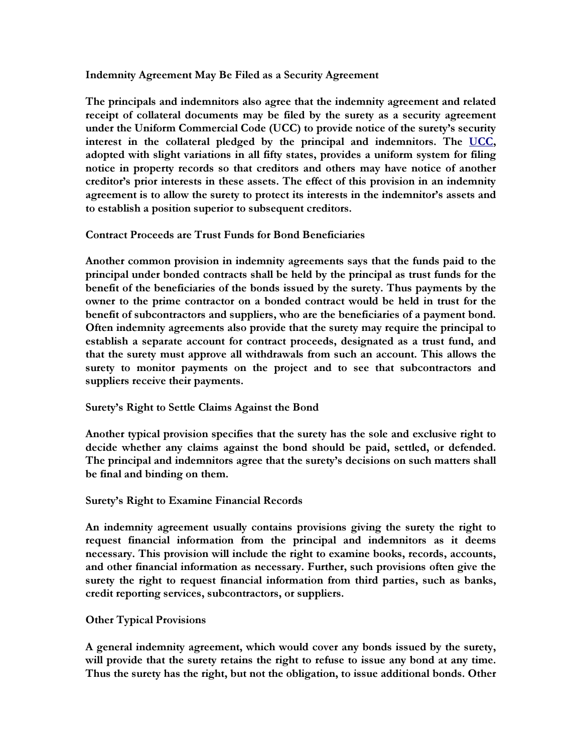#### Indemnity Agreement May Be Filed as a Security Agreement

The principals and indemnitors also agree that the indemnity agreement and related receipt of collateral documents may be filed by the surety as a security agreement under the Uniform Commercial Code (UCC) to provide notice of the surety's security interest in the collateral pledged by the principal and indemnitors. The UCC, adopted with slight variations in all fifty states, provides a uniform system for filing notice in property records so that creditors and others may have notice of another creditor's prior interests in these assets. The effect of this provision in an indemnity agreement is to allow the surety to protect its interests in the indemnitor's assets and to establish a position superior to subsequent creditors.

## Contract Proceeds are Trust Funds for Bond Beneficiaries

Another common provision in indemnity agreements says that the funds paid to the principal under bonded contracts shall be held by the principal as trust funds for the benefit of the beneficiaries of the bonds issued by the surety. Thus payments by the owner to the prime contractor on a bonded contract would be held in trust for the benefit of subcontractors and suppliers, who are the beneficiaries of a payment bond. Often indemnity agreements also provide that the surety may require the principal to establish a separate account for contract proceeds, designated as a trust fund, and that the surety must approve all withdrawals from such an account. This allows the surety to monitor payments on the project and to see that subcontractors and suppliers receive their payments.

## Surety's Right to Settle Claims Against the Bond

Another typical provision specifies that the surety has the sole and exclusive right to decide whether any claims against the bond should be paid, settled, or defended. The principal and indemnitors agree that the surety's decisions on such matters shall be final and binding on them.

#### Surety's Right to Examine Financial Records

An indemnity agreement usually contains provisions giving the surety the right to request financial information from the principal and indemnitors as it deems necessary. This provision will include the right to examine books, records, accounts, and other financial information as necessary. Further, such provisions often give the surety the right to request financial information from third parties, such as banks, credit reporting services, subcontractors, or suppliers.

## Other Typical Provisions

A general indemnity agreement, which would cover any bonds issued by the surety, will provide that the surety retains the right to refuse to issue any bond at any time. Thus the surety has the right, but not the obligation, to issue additional bonds. Other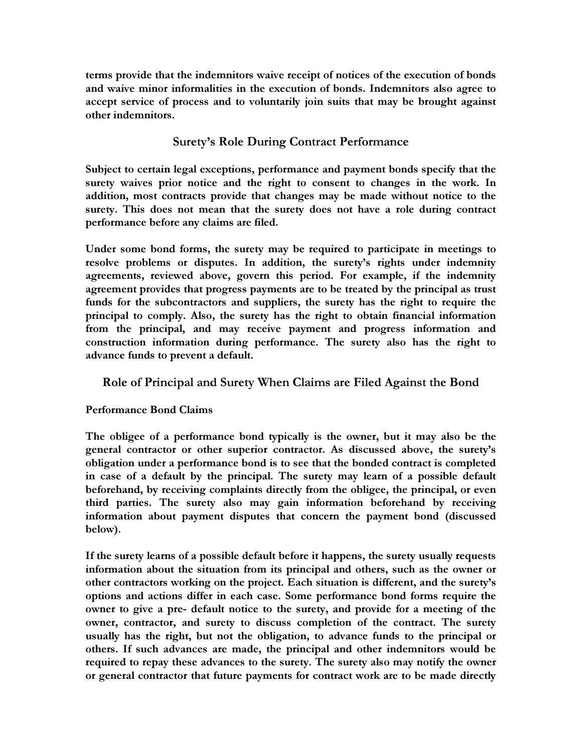terms provide that the indemnitors waive receipt of notices of the execution of bonds and waive minor informalities in the execution of bonds. Indemnitors also agree to accept service of process and to voluntarily join suits that may be brought against other indemnitors.

# Surety's Role During Contract Performance

Subject to certain legal exceptions, performance and payment bonds specify that the surety waives prior notice and the right to consent to changes in the work. In addition, most contracts provide that changes may be made without notice to the surety. This does not mean that the surety does not have a role during contract performance before any claims are filed.

Under some bond forms, the surety may be required to participate in meetings to resolve problems or disputes. In addition, the surety's rights under indemnity agreements, reviewed above, govern this period. For example, if the indemnity agreement provides that progress payments are to be treated by the principal as trust funds for the subcontractors and suppliers, the surety has the right to require the principal to comply. Also, the surety has the right to obtain financial information from the principal, and may receive payment and progress information and construction information during performance. The surety also has the right to advance funds to prevent a default.

# Role of Principal and Surety When Claims are Filed Against the Bond

# Performance Bond Claims

The obligee of a performance bond typically is the owner, but it may also be the general contractor or other superior contractor. As discussed above, the surety's obligation under a performance bond is to see that the bonded contract is completed in case of a default by the principal. The surety may learn of a possible default beforehand, by receiving complaints directly from the obligee, the principal, or even third parties. The surety also may gain information beforehand by receiving information about payment disputes that concern the payment bond (discussed below).

If the surety learns of a possible default before it happens, the surety usually requests information about the situation from its principal and others, such as the owner or other contractors working on the project. Each situation is different, and the surety's options and actions differ in each case. Some performance bond forms require the owner to give a pre- default notice to the surety, and provide for a meeting of the owner, contractor, and surety to discuss completion of the contract. The surety usually has the right, but not the obligation, to advance funds to the principal or others. If such advances are made, the principal and other indemnitors would be required to repay these advances to the surety. The surety also may notify the owner or general contractor that future payments for contract work are to be made directly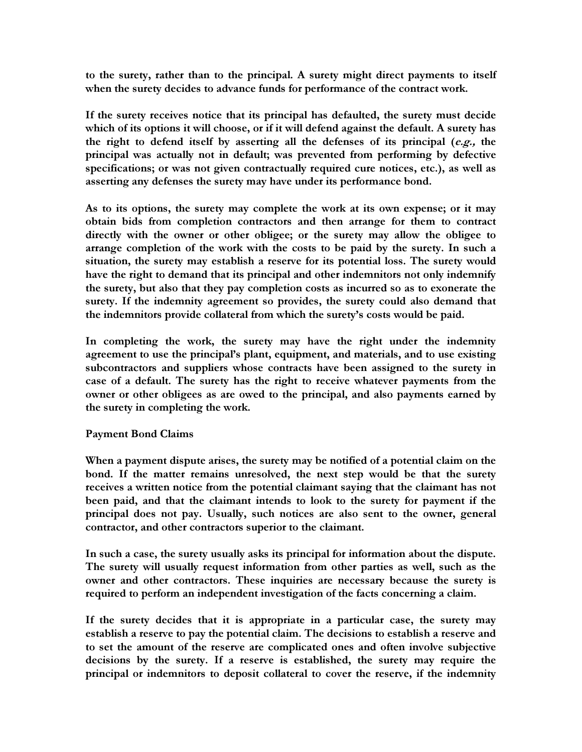to the surety, rather than to the principal. A surety might direct payments to itself when the surety decides to advance funds for performance of the contract work.

If the surety receives notice that its principal has defaulted, the surety must decide which of its options it will choose, or if it will defend against the default. A surety has the right to defend itself by asserting all the defenses of its principal  $(e.g., the)$ principal was actually not in default; was prevented from performing by defective specifications; or was not given contractually required cure notices, etc.), as well as asserting any defenses the surety may have under its performance bond.

As to its options, the surety may complete the work at its own expense; or it may obtain bids from completion contractors and then arrange for them to contract directly with the owner or other obligee; or the surety may allow the obligee to arrange completion of the work with the costs to be paid by the surety. In such a situation, the surety may establish a reserve for its potential loss. The surety would have the right to demand that its principal and other indemnitors not only indemnify the surety, but also that they pay completion costs as incurred so as to exonerate the surety. If the indemnity agreement so provides, the surety could also demand that the indemnitors provide collateral from which the surety's costs would be paid.

In completing the work, the surety may have the right under the indemnity agreement to use the principal's plant, equipment, and materials, and to use existing subcontractors and suppliers whose contracts have been assigned to the surety in case of a default. The surety has the right to receive whatever payments from the owner or other obligees as are owed to the principal, and also payments earned by the surety in completing the work.

## Payment Bond Claims

When a payment dispute arises, the surety may be notified of a potential claim on the bond. If the matter remains unresolved, the next step would be that the surety receives a written notice from the potential claimant saying that the claimant has not been paid, and that the claimant intends to look to the surety for payment if the principal does not pay. Usually, such notices are also sent to the owner, general contractor, and other contractors superior to the claimant.

In such a case, the surety usually asks its principal for information about the dispute. The surety will usually request information from other parties as well, such as the owner and other contractors. These inquiries are necessary because the surety is required to perform an independent investigation of the facts concerning a claim.

If the surety decides that it is appropriate in a particular case, the surety may establish a reserve to pay the potential claim. The decisions to establish a reserve and to set the amount of the reserve are complicated ones and often involve subjective decisions by the surety. If a reserve is established, the surety may require the principal or indemnitors to deposit collateral to cover the reserve, if the indemnity